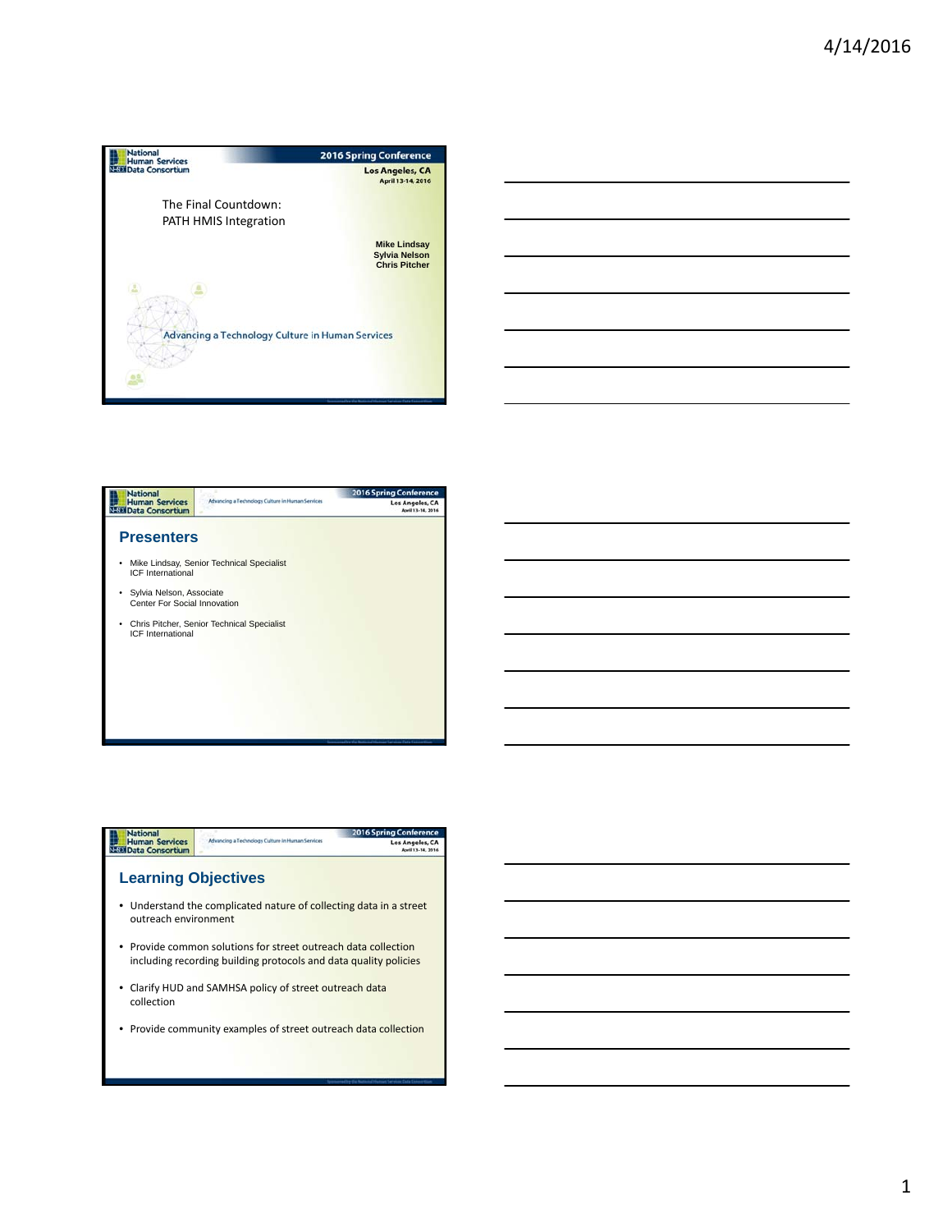





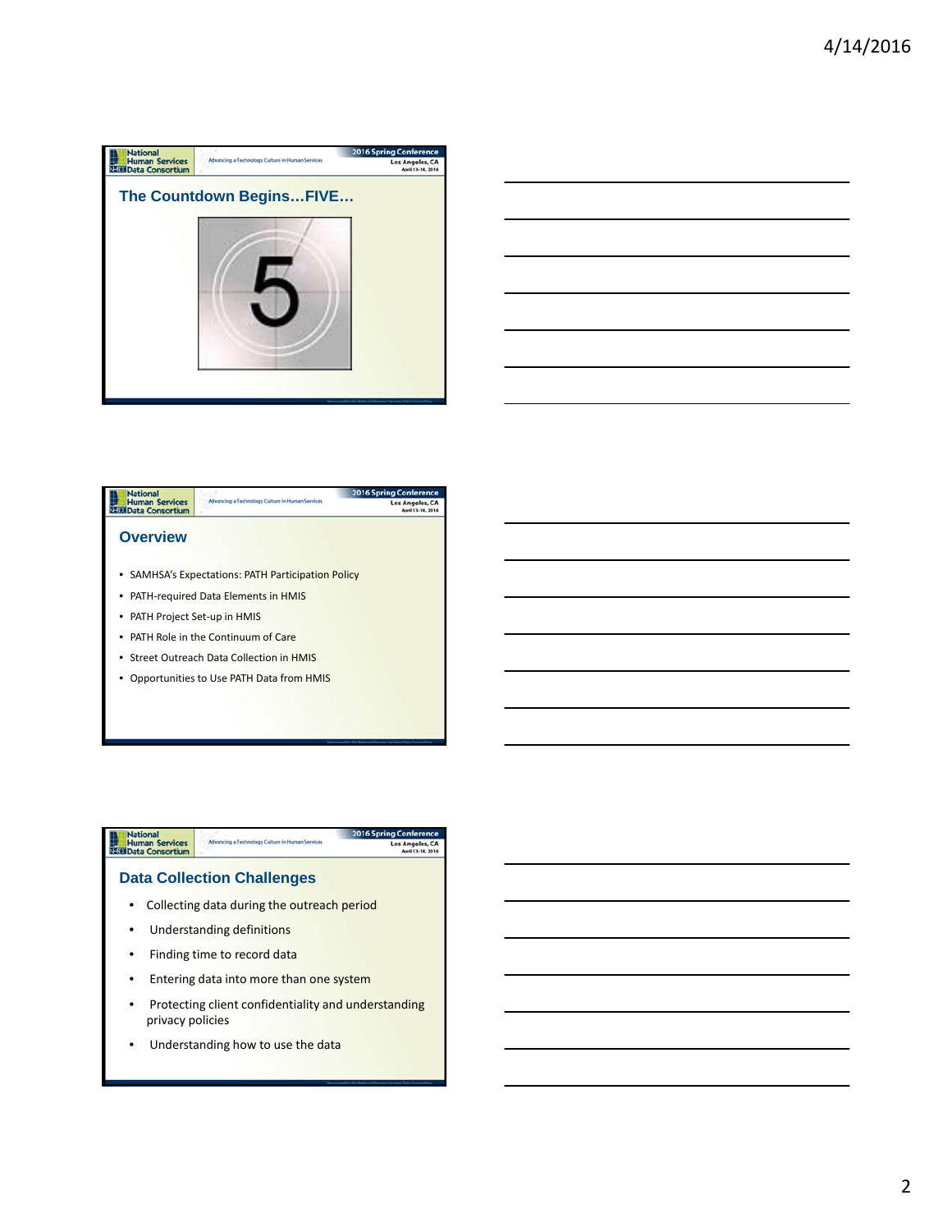

| -<br><u> Alexandro de la contrada de la contrada de la contrada de la contrada de la contrada de la contrada de la con</u>                                           |  | _____ |
|----------------------------------------------------------------------------------------------------------------------------------------------------------------------|--|-------|
|                                                                                                                                                                      |  |       |
|                                                                                                                                                                      |  |       |
|                                                                                                                                                                      |  | ___   |
|                                                                                                                                                                      |  | _____ |
| ,我们也不会有一个人的事情。""我们的人们,我们也不会有一个人的人,我们也不会有一个人的人,我们也不会有一个人的人,我们也不会有一个人的人,我们也不会有一个人的<br>第一百一十一章 我们的人,我们的人们的人们,我们的人们的人们的人们,我们的人们的人们的人们,我们的人们的人们,我们的人们的人们,我们的人们的人们,我们的人们的人 |  |       |



• Opportunities to Use PATH Data from HMIS



• Understanding how to use the data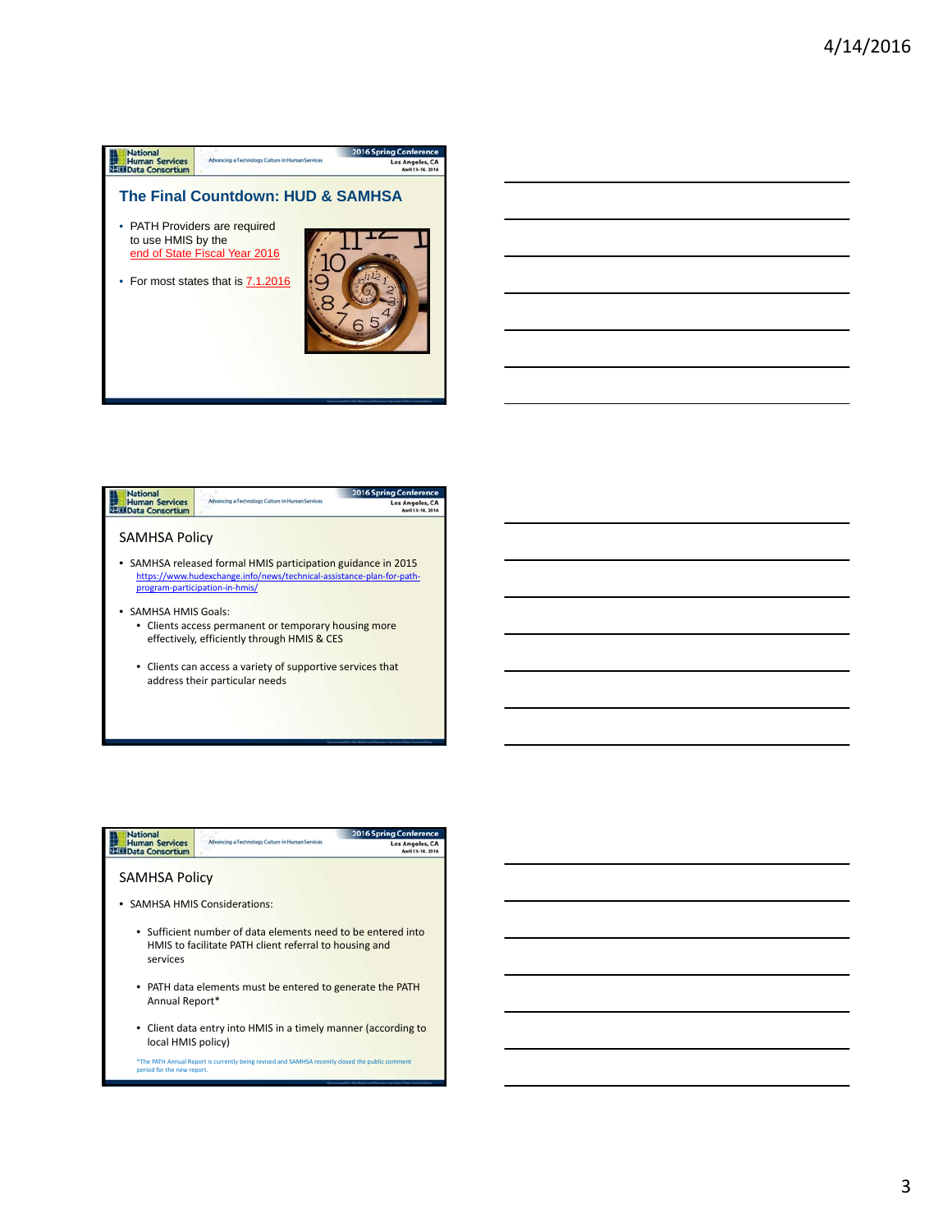





3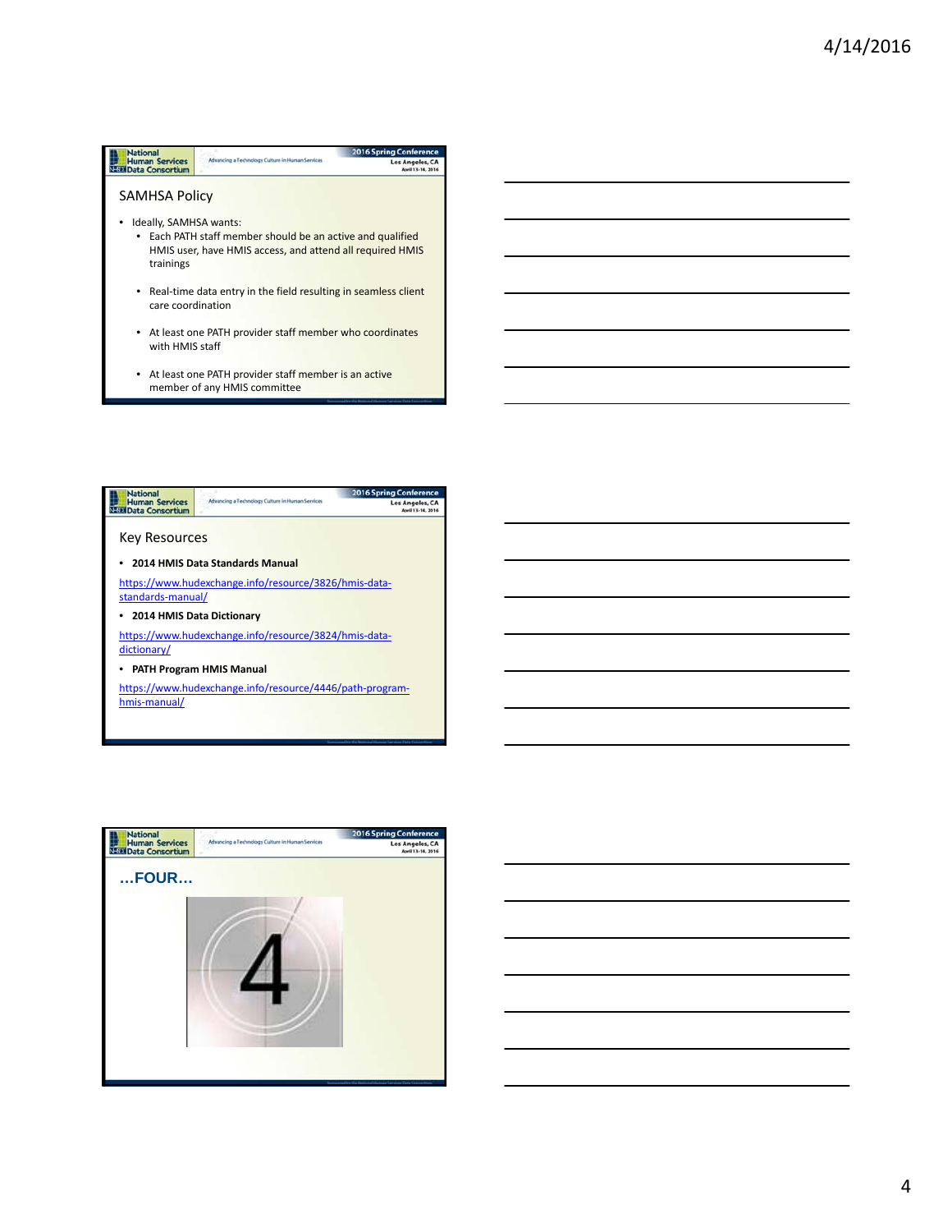## **Mational**<br>
Human Services<br>
SEE Data Consortium 2016 Spring Conf -<br>Advancing a Technology Culture in Human Services Los Angeles, CA SAMHSA Policy • Ideally, SAMHSA wants: • Each PATH staff member should be an active and qualified HMIS user, have HMIS access, and attend all required HMIS trainings • Real-time data entry in the field resulting in seamless client care coordination • At least one PATH provider staff member who coordinates with HMIS staff • At least one PATH provider staff member is an active





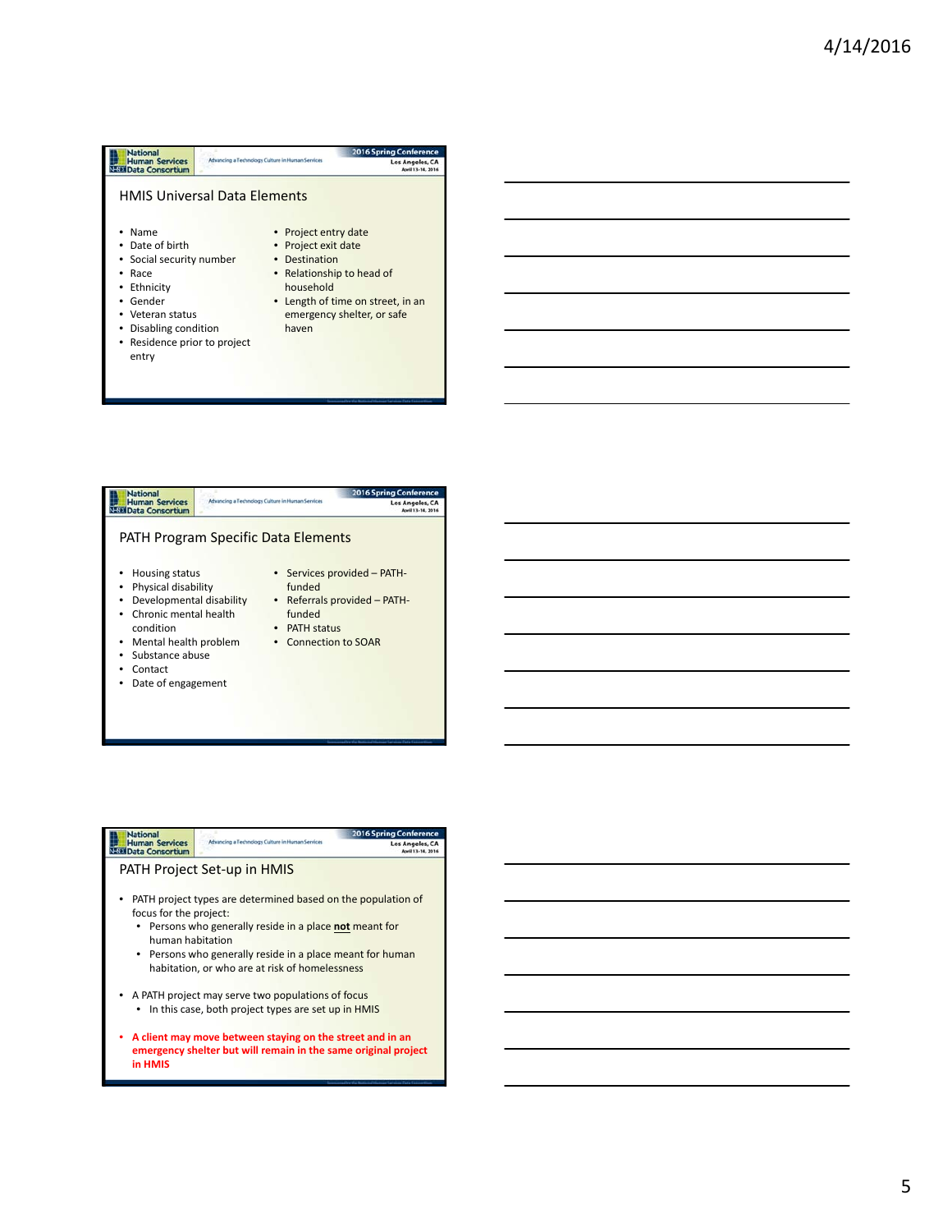



| Nationa                                         |                                                                                                                             | <b>2016 Spring Conference</b> |  |
|-------------------------------------------------|-----------------------------------------------------------------------------------------------------------------------------|-------------------------------|--|
| <b>Human Services</b><br><b>Data Consortium</b> | Advancing a Technology Culture in Human Services                                                                            | Los Angeles, CA               |  |
|                                                 | PATH Project Set-up in HMIS                                                                                                 |                               |  |
| focus for the project:                          | PATH project types are determined based on the population of                                                                |                               |  |
| human habitation                                | • Persons who generally reside in a place not meant for                                                                     |                               |  |
|                                                 | • Persons who generally reside in a place meant for human<br>habitation, or who are at risk of homelessness                 |                               |  |
|                                                 | A PATH project may serve two populations of focus                                                                           |                               |  |
|                                                 | In this case, both project types are set up in HMIS                                                                         |                               |  |
| in HMIS                                         | A client may move between staying on the street and in an<br>emergency shelter but will remain in the same original project |                               |  |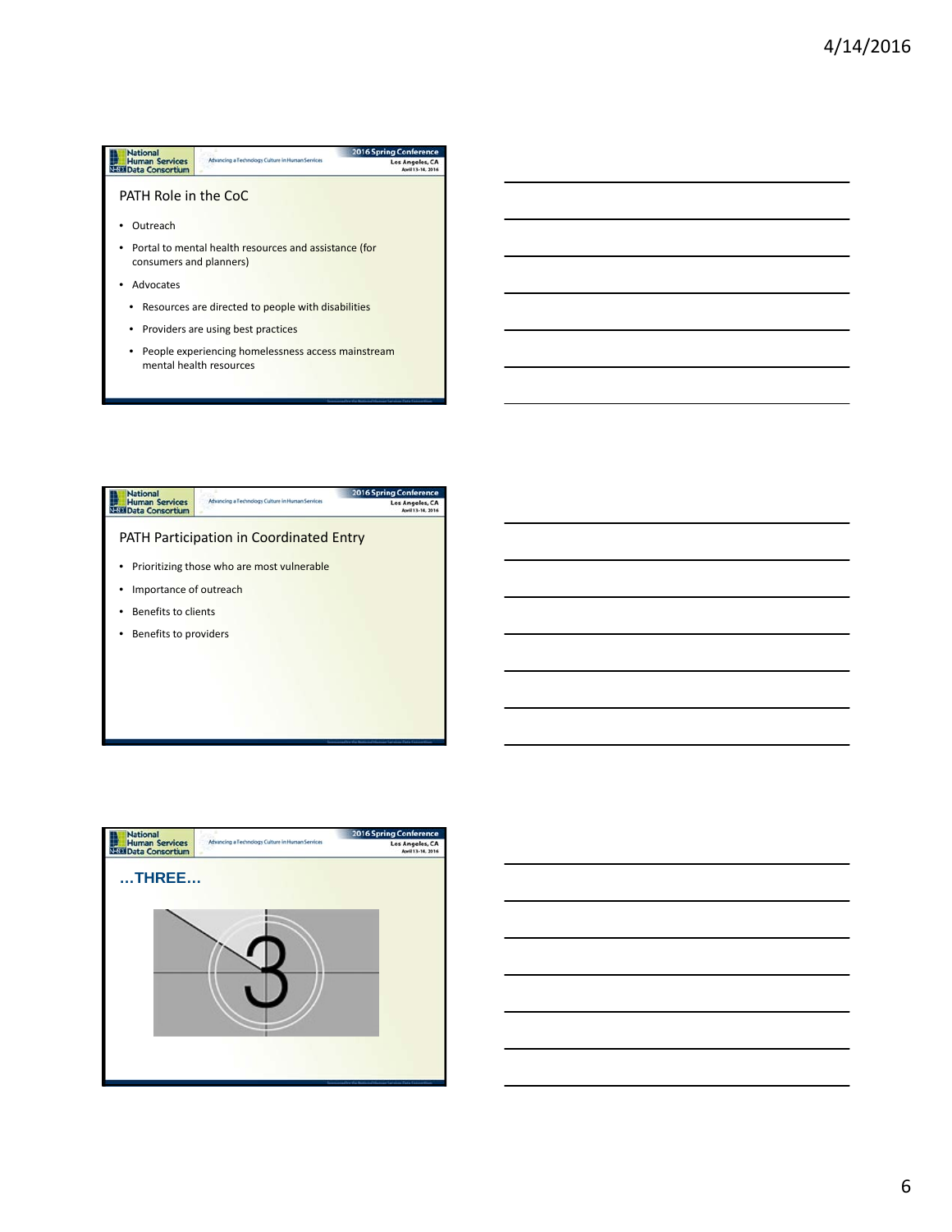## 2016 Spring Conference<br>Los Angeles, CA<br>April 13-14, 2016 **Mational**<br>
Human Services<br>
SEE Data Consortium Advancing a Technology Culture in Human Services PATH Role in the CoC • Outreach • Portal to mental health resources and assistance (for consumers and planners) • Advocates • Resources are directed to people with disabilities • Providers are using best practices • People experiencing homelessness access mainstream mental health resources



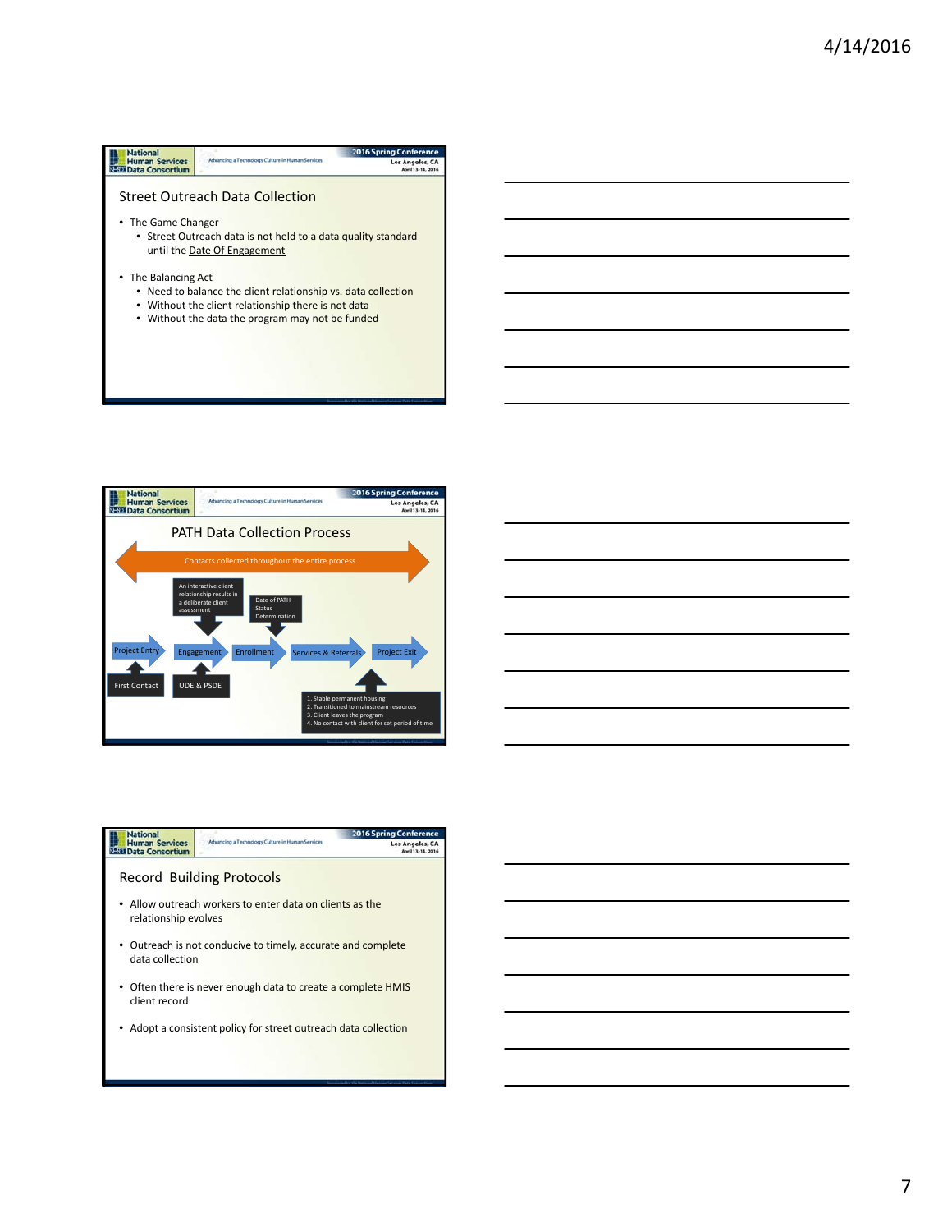





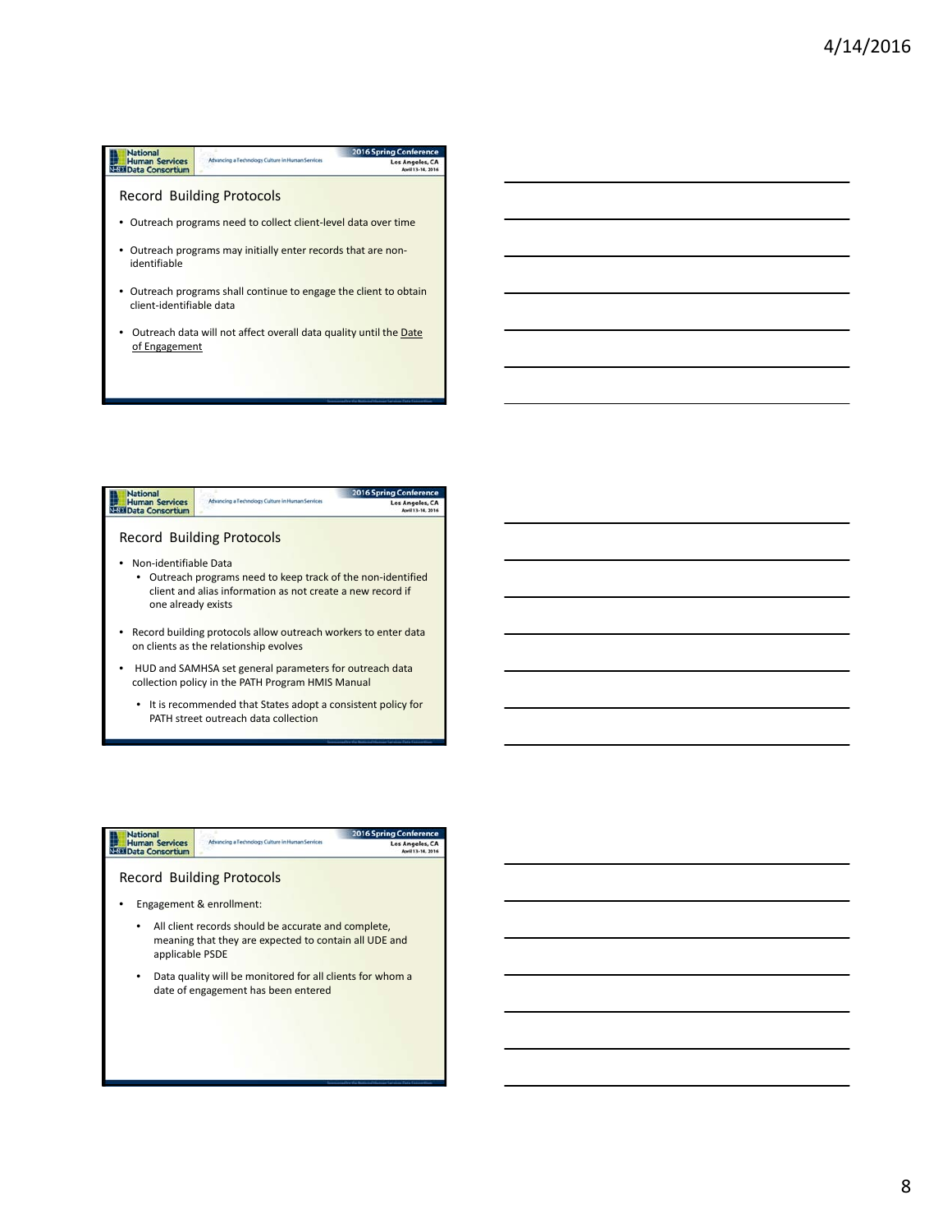## **National**<br> **Human Services**<br> **NEED** Data Consortium 2016 Spring Conf -<br>Advancing a Technology Culture in Human Services Los Angeles, CA Record Building Protocols • Outreach programs need to collect client-level data over time • Outreach programs may initially enter records that are nonidentifiable • Outreach programs shall continue to engage the client to obtain client‐identifiable data • Outreach data will not affect overall data quality until the Date of Engagement





8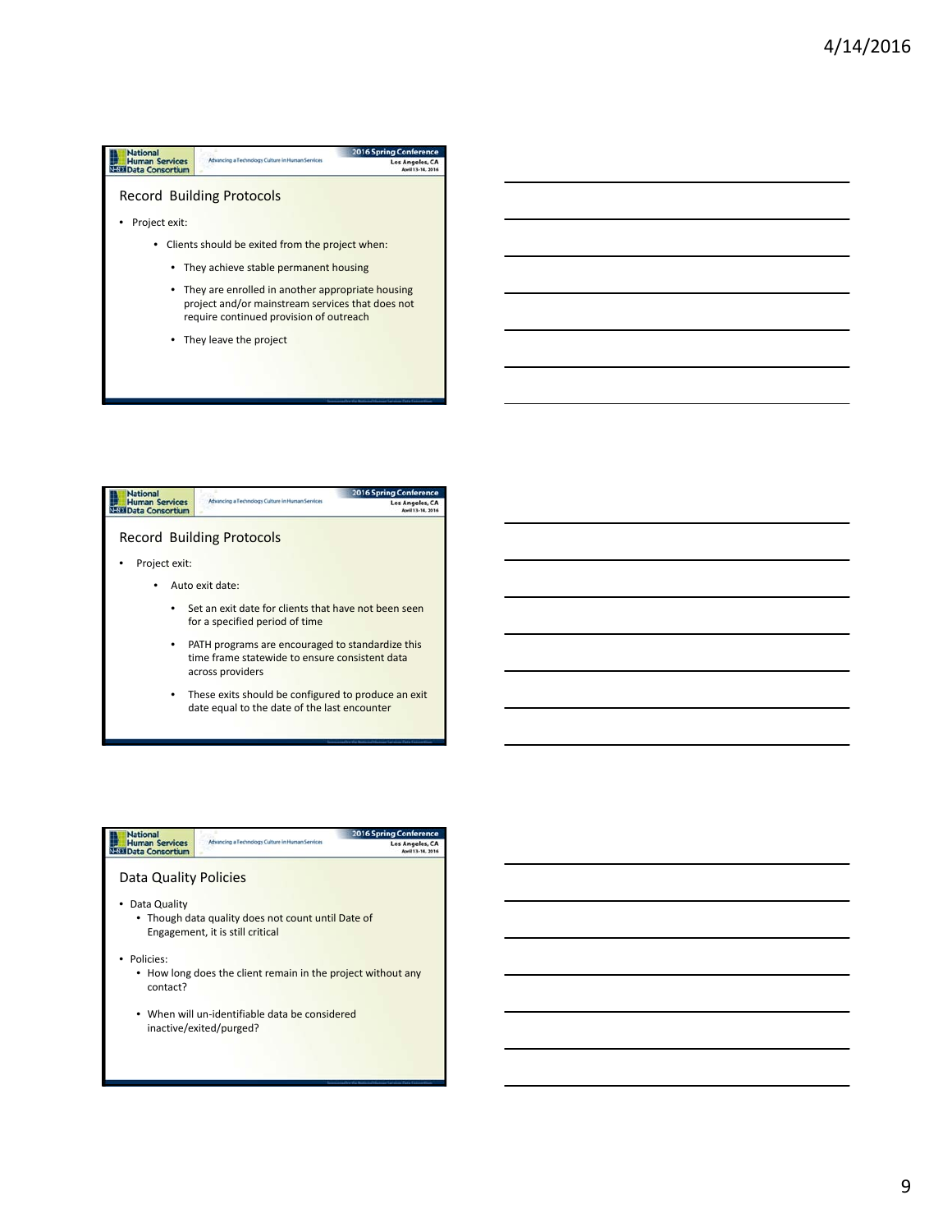



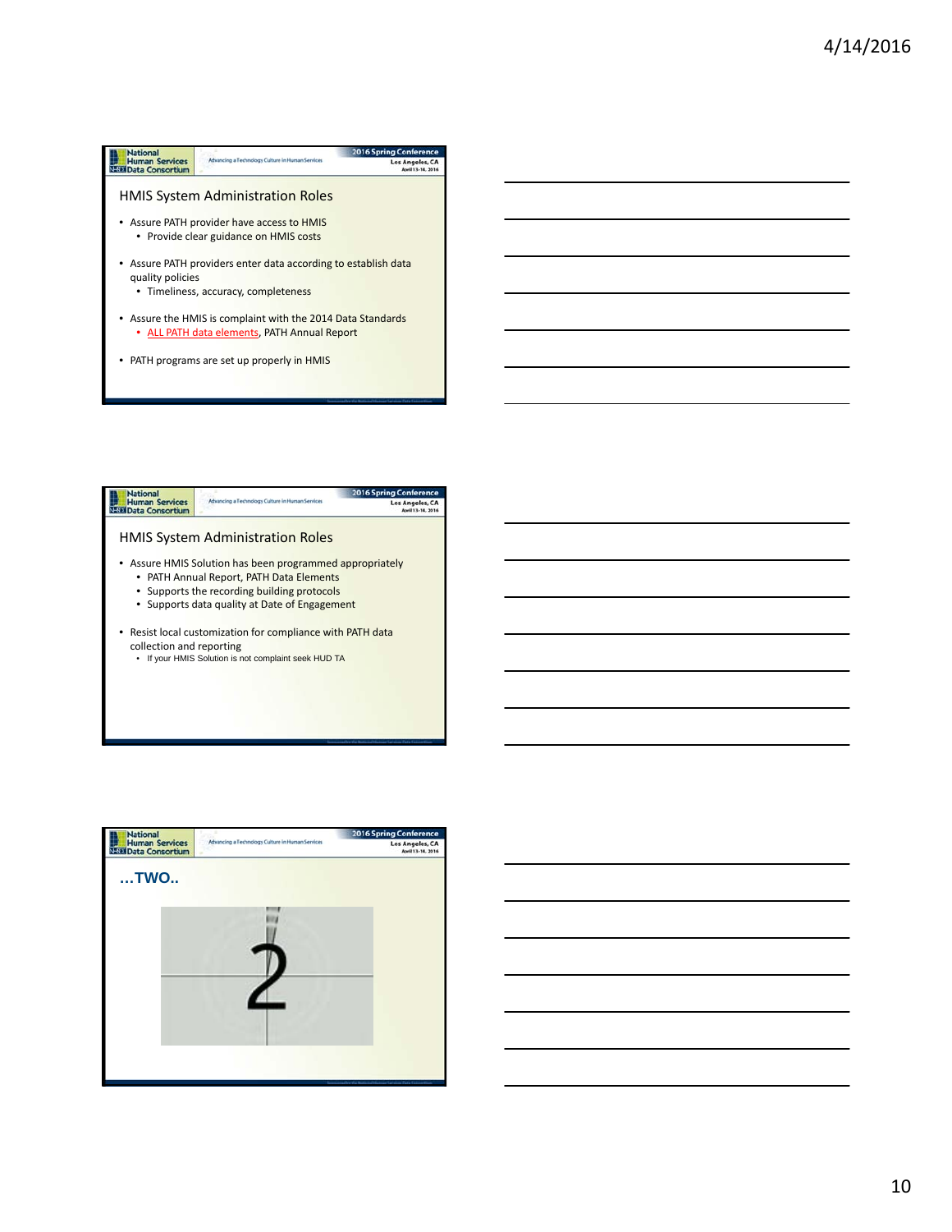





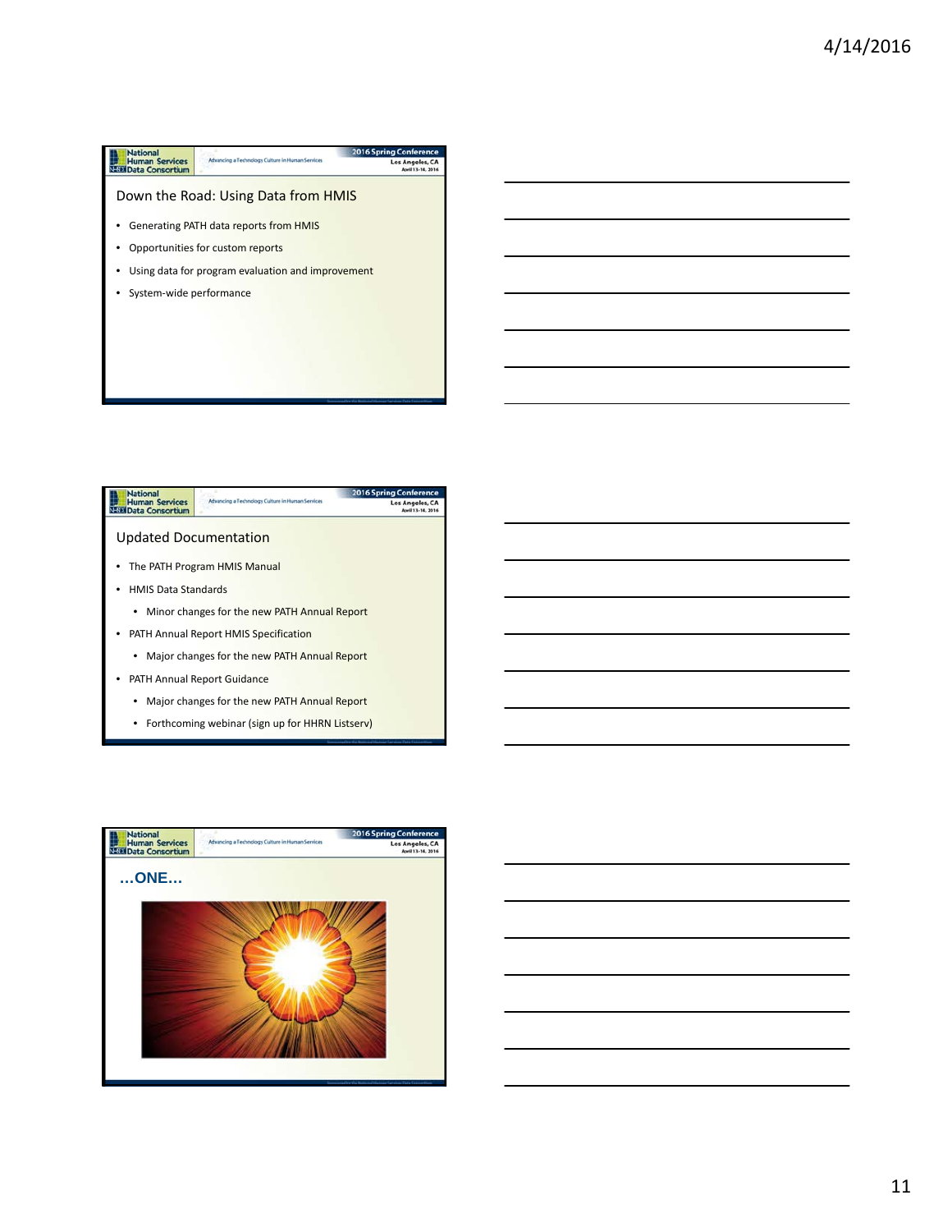



• Forthcoming webinar (sign up for HHRN Listserv)